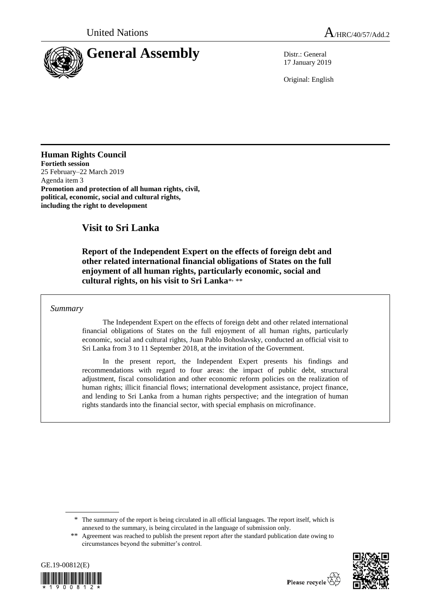

17 January 2019

Original: English

# **Human Rights Council**

**Fortieth session**  25 February–22 March 2019 Agenda item 3 **Promotion and protection of all human rights, civil, political, economic, social and cultural rights, including the right to development**

# **Visit to Sri Lanka**

**Report of the Independent Expert on the effects of foreign debt and other related international financial obligations of States on the full enjoyment of all human rights, particularly economic, social and**  cultural rights, on his visit to Sri Lanka\*, \*\*

### *Summary*

The Independent Expert on the effects of foreign debt and other related international financial obligations of States on the full enjoyment of all human rights, particularly economic, social and cultural rights, Juan Pablo Bohoslavsky, conducted an official visit to Sri Lanka from 3 to 11 September 2018, at the invitation of the Government.

In the present report, the Independent Expert presents his findings and recommendations with regard to four areas: the impact of public debt, structural adjustment, fiscal consolidation and other economic reform policies on the realization of human rights; illicit financial flows; international development assistance, project finance, and lending to Sri Lanka from a human rights perspective; and the integration of human rights standards into the financial sector, with special emphasis on microfinance.

<sup>\*\*</sup> Agreement was reached to publish the present report after the standard publication date owing to circumstances beyond the submitter's control.





<sup>\*</sup> The summary of the report is being circulated in all official languages. The report itself, which is annexed to the summary, is being circulated in the language of submission only.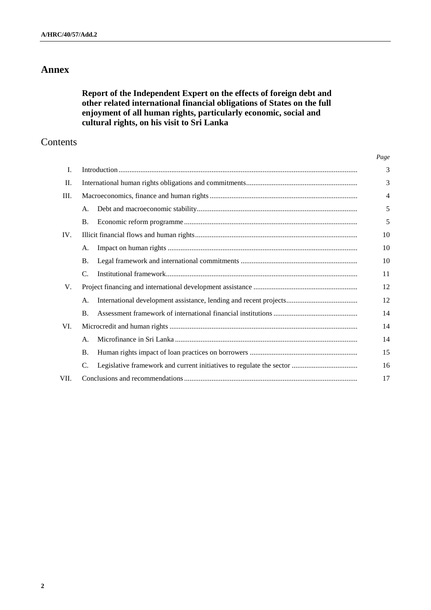# **Annex**

# **Report of the Independent Expert on the effects of foreign debt and other related international financial obligations of States on the full enjoyment of all human rights, particularly economic, social and cultural rights, on his visit to Sri Lanka**

# Contents

| Ι.   |                |  | 3              |
|------|----------------|--|----------------|
| П.   |                |  |                |
| Ш.   |                |  | $\overline{4}$ |
|      | А.             |  | 5              |
|      | <b>B.</b>      |  | 5              |
| IV.  |                |  | 10             |
|      | А.             |  | 10             |
|      | <b>B.</b>      |  | 10             |
|      | C.             |  | 11             |
| V.   |                |  | 12             |
|      | А.             |  | 12             |
|      | $\mathbf{B}$ . |  | 14             |
| VI.  |                |  | 14             |
|      | А.             |  | 14             |
|      | Β.             |  | 15             |
|      | C.             |  | 16             |
| VII. |                |  | 17             |

*Page*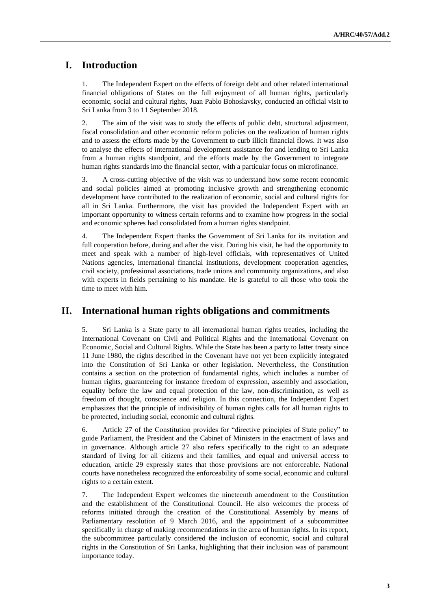# **I. Introduction**

1. The Independent Expert on the effects of foreign debt and other related international financial obligations of States on the full enjoyment of all human rights, particularly economic, social and cultural rights, Juan Pablo Bohoslavsky, conducted an official visit to Sri Lanka from 3 to 11 September 2018.

2. The aim of the visit was to study the effects of public debt, structural adjustment, fiscal consolidation and other economic reform policies on the realization of human rights and to assess the efforts made by the Government to curb illicit financial flows. It was also to analyse the effects of international development assistance for and lending to Sri Lanka from a human rights standpoint, and the efforts made by the Government to integrate human rights standards into the financial sector, with a particular focus on microfinance.

3. A cross-cutting objective of the visit was to understand how some recent economic and social policies aimed at promoting inclusive growth and strengthening economic development have contributed to the realization of economic, social and cultural rights for all in Sri Lanka. Furthermore, the visit has provided the Independent Expert with an important opportunity to witness certain reforms and to examine how progress in the social and economic spheres had consolidated from a human rights standpoint.

4. The Independent Expert thanks the Government of Sri Lanka for its invitation and full cooperation before, during and after the visit. During his visit, he had the opportunity to meet and speak with a number of high-level officials, with representatives of United Nations agencies, international financial institutions, development cooperation agencies, civil society, professional associations, trade unions and community organizations, and also with experts in fields pertaining to his mandate. He is grateful to all those who took the time to meet with him.

## **II. International human rights obligations and commitments**

5. Sri Lanka is a State party to all international human rights treaties, including the International Covenant on Civil and Political Rights and the International Covenant on Economic, Social and Cultural Rights. While the State has been a party to latter treaty since 11 June 1980, the rights described in the Covenant have not yet been explicitly integrated into the Constitution of Sri Lanka or other legislation. Nevertheless, the Constitution contains a section on the protection of fundamental rights, which includes a number of human rights, guaranteeing for instance freedom of expression, assembly and association, equality before the law and equal protection of the law, non-discrimination, as well as freedom of thought, conscience and religion. In this connection, the Independent Expert emphasizes that the principle of indivisibility of human rights calls for all human rights to be protected, including social, economic and cultural rights.

6. Article 27 of the Constitution provides for "directive principles of State policy" to guide Parliament, the President and the Cabinet of Ministers in the enactment of laws and in governance. Although article 27 also refers specifically to the right to an adequate standard of living for all citizens and their families, and equal and universal access to education, article 29 expressly states that those provisions are not enforceable. National courts have nonetheless recognized the enforceability of some social, economic and cultural rights to a certain extent.

7. The Independent Expert welcomes the nineteenth amendment to the Constitution and the establishment of the Constitutional Council. He also welcomes the process of reforms initiated through the creation of the Constitutional Assembly by means of Parliamentary resolution of 9 March 2016, and the appointment of a subcommittee specifically in charge of making recommendations in the area of human rights. In its report, the subcommittee particularly considered the inclusion of economic, social and cultural rights in the Constitution of Sri Lanka, highlighting that their inclusion was of paramount importance today.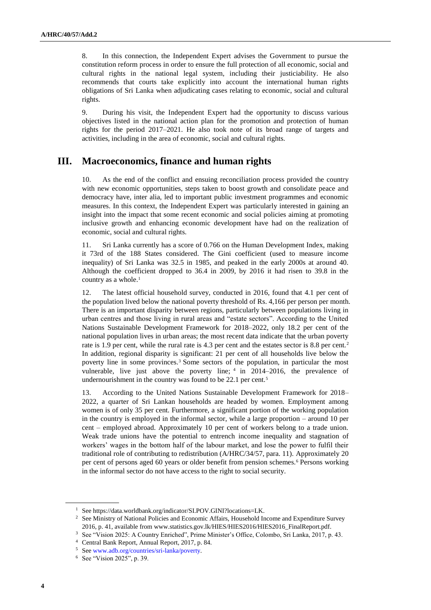8. In this connection, the Independent Expert advises the Government to pursue the constitution reform process in order to ensure the full protection of all economic, social and cultural rights in the national legal system, including their justiciability. He also recommends that courts take explicitly into account the international human rights obligations of Sri Lanka when adjudicating cases relating to economic, social and cultural rights.

9. During his visit, the Independent Expert had the opportunity to discuss various objectives listed in the national action plan for the promotion and protection of human rights for the period 2017–2021. He also took note of its broad range of targets and activities, including in the area of economic, social and cultural rights.

## **III. Macroeconomics, finance and human rights**

10. As the end of the conflict and ensuing reconciliation process provided the country with new economic opportunities, steps taken to boost growth and consolidate peace and democracy have, inter alia, led to important public investment programmes and economic measures. In this context, the Independent Expert was particularly interested in gaining an insight into the impact that some recent economic and social policies aiming at promoting inclusive growth and enhancing economic development have had on the realization of economic, social and cultural rights.

11. Sri Lanka currently has a score of 0.766 on the Human Development Index, making it 73rd of the 188 States considered. The Gini coefficient (used to measure income inequality) of Sri Lanka was 32.5 in 1985, and peaked in the early 2000s at around 40. Although the coefficient dropped to 36.4 in 2009, by 2016 it had risen to 39.8 in the country as a whole. $<sup>1</sup>$ </sup>

12. The latest official household survey, conducted in 2016, found that 4.1 per cent of the population lived below the national poverty threshold of Rs. 4,166 per person per month. There is an important disparity between regions, particularly between populations living in urban centres and those living in rural areas and "estate sectors". According to the United Nations Sustainable Development Framework for 2018–2022, only 18.2 per cent of the national population lives in urban areas; the most recent data indicate that the urban poverty rate is 1.9 per cent, while the rural rate is 4.3 per cent and the estates sector is 8.8 per cent.<sup>2</sup> In addition, regional disparity is significant: 21 per cent of all households live below the poverty line in some provinces. <sup>3</sup> Some sectors of the population, in particular the most vulnerable, live just above the poverty line;  $4 \text{ in } 2014-2016$ , the prevalence of undernourishment in the country was found to be 22.1 per cent.<sup>5</sup>

13. According to the United Nations Sustainable Development Framework for 2018– 2022, a quarter of Sri Lankan households are headed by women. Employment among women is of only 35 per cent. Furthermore, a significant portion of the working population in the country is employed in the informal sector, while a large proportion – around 10 per cent – employed abroad. Approximately 10 per cent of workers belong to a trade union. Weak trade unions have the potential to entrench income inequality and stagnation of workers' wages in the bottom half of the labour market, and lose the power to fulfil their traditional role of contributing to redistribution (A/HRC/34/57, para. 11). Approximately 20 per cent of persons aged 60 years or older benefit from pension schemes.<sup>6</sup> Persons working in the informal sector do not have access to the right to social security.

<sup>1</sup> See https://data.worldbank.org/indicator/SI.POV.GINI?locations=LK.

<sup>&</sup>lt;sup>2</sup> See Ministry of National Policies and Economic Affairs, Household Income and Expenditure Survey 2016, p. 41, available from [www.statistics.gov.lk/HIES/HIES2016/HIES2016\\_FinalReport.pdf.](file:///C:/Users/mcparland/Documents/Human%20Rights%20Council/HRC%2040/57/www.statistics.gov.lk/HIES/HIES2016/HIES2016_FinalReport.pdf)

<sup>&</sup>lt;sup>3</sup> See "Vision 2025: A Country Enriched", Prime Minister's Office, Colombo, Sri Lanka, 2017, p. 43.

<sup>4</sup> Central Bank Report, Annual Report, 2017, p. 84.

<sup>5</sup> Se[e www.adb.org/countries/sri-lanka/poverty.](https://www.adb.org/countries/sri-lanka/poverty)

<sup>6</sup> See "Vision 2025", p. 39.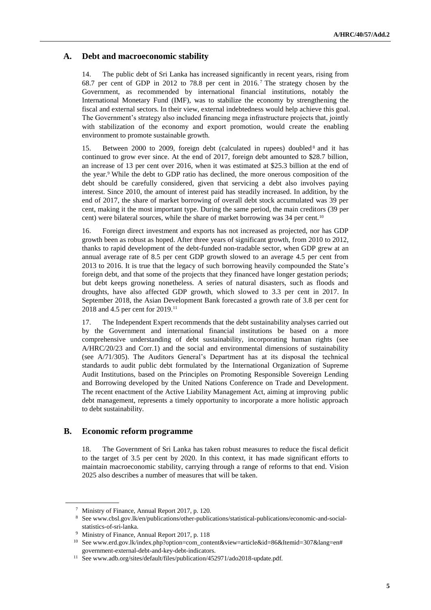#### **A. Debt and macroeconomic stability**

14. The public debt of Sri Lanka has increased significantly in recent years, rising from 68.7 per cent of GDP in 2012 to 78.8 per cent in 2016. <sup>7</sup> The strategy chosen by the Government, as recommended by international financial institutions, notably the International Monetary Fund (IMF), was to stabilize the economy by strengthening the fiscal and external sectors. In their view, external indebtedness would help achieve this goal. The Government's strategy also included financing mega infrastructure projects that, jointly with stabilization of the economy and export promotion, would create the enabling environment to promote sustainable growth.

15. Between 2000 to 2009, foreign debt (calculated in rupees) doubled<sup>8</sup> and it has continued to grow ever since. At the end of 2017, foreign debt amounted to \$28.7 billion, an increase of 13 per cent over 2016, when it was estimated at \$25.3 billion at the end of the year.<sup>9</sup> While the debt to GDP ratio has declined, the more onerous composition of the debt should be carefully considered, given that servicing a debt also involves paying interest. Since 2010, the amount of interest paid has steadily increased. In addition, by the end of 2017, the share of market borrowing of overall debt stock accumulated was 39 per cent, making it the most important type. During the same period, the main creditors (39 per cent) were bilateral sources, while the share of market borrowing was 34 per cent.<sup>10</sup>

16. Foreign direct investment and exports has not increased as projected, nor has GDP growth been as robust as hoped. After three years of significant growth, from 2010 to 2012, thanks to rapid development of the debt-funded non-tradable sector, when GDP grew at an annual average rate of 8.5 per cent GDP growth slowed to an average 4.5 per cent from 2013 to 2016. It is true that the legacy of such borrowing heavily compounded the State's foreign debt, and that some of the projects that they financed have longer gestation periods; but debt keeps growing nonetheless. A series of natural disasters, such as floods and droughts, have also affected GDP growth, which slowed to 3.3 per cent in 2017. In September 2018, the Asian Development Bank forecasted a growth rate of 3.8 per cent for 2018 and 4.5 per cent for 2019.<sup>11</sup>

17. The Independent Expert recommends that the debt sustainability analyses carried out by the Government and international financial institutions be based on a more comprehensive understanding of debt sustainability, incorporating human rights (see A/HRC/20/23 and Corr.1) and the social and environmental dimensions of sustainability (see A/71/305). The Auditors General's Department has at its disposal the technical standards to audit public debt formulated by the International Organization of Supreme Audit Institutions, based on the Principles on Promoting Responsible Sovereign Lending and Borrowing developed by the United Nations Conference on Trade and Development. The recent enactment of the Active Liability Management Act, aiming at improving public debt management, represents a timely opportunity to incorporate a more holistic approach to debt sustainability.

### **B. Economic reform programme**

18. The Government of Sri Lanka has taken robust measures to reduce the fiscal deficit to the target of 3.5 per cent by 2020. In this context, it has made significant efforts to maintain macroeconomic stability, carrying through a range of reforms to that end. Vision 2025 also describes a number of measures that will be taken.

<sup>7</sup> Ministry of Finance, Annual Report 2017, p. 120.

<sup>8</sup> [See](file:///C:/Users/mcparland/Documents/Human%20Rights%20Council/HRC%2040/57/See) www.cbsl.gov.lk/en/publications/other-publications/statistical-publications/economic-and-socialstatistics-of-sri-lanka.

<sup>9</sup> Ministry of Finance, Annual Report 2017, p. 118

<sup>10</sup> Se[e www.erd.gov.lk/index.php?option=com\\_content&view=article&id=86&Itemid=307&lang=en#](http://www.erd.gov.lk/index.php?option=com_content&view=article&id=86&Itemid=307&lang=en#government-external-debt-and-key-debt-indicators) [government-external-debt-and-key-debt-indicators.](http://www.erd.gov.lk/index.php?option=com_content&view=article&id=86&Itemid=307&lang=en#government-external-debt-and-key-debt-indicators)

<sup>11</sup> See www.adb.org/sites/default/files/publication/452971/ado2018-update.pdf.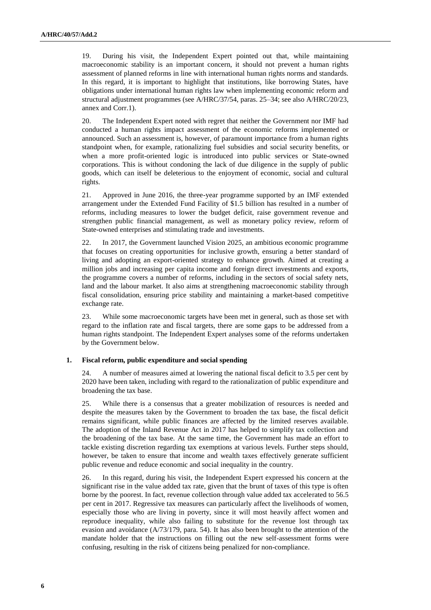19. During his visit, the Independent Expert pointed out that, while maintaining macroeconomic stability is an important concern, it should not prevent a human rights assessment of planned reforms in line with international human rights norms and standards. In this regard, it is important to highlight that institutions, like borrowing States, have obligations under international human rights law when implementing economic reform and structural adjustment programmes (see A/HRC/37/54, paras. 25–34; see also A/HRC/20/23, annex and Corr.1).

20. The Independent Expert noted with regret that neither the Government nor IMF had conducted a human rights impact assessment of the economic reforms implemented or announced. Such an assessment is, however, of paramount importance from a human rights standpoint when, for example, rationalizing fuel subsidies and social security benefits, or when a more profit-oriented logic is introduced into public services or State-owned corporations. This is without condoning the lack of due diligence in the supply of public goods, which can itself be deleterious to the enjoyment of economic, social and cultural rights.

21. Approved in June 2016, the three-year programme supported by an IMF extended arrangement under the Extended Fund Facility of \$1.5 billion has resulted in a number of reforms, including measures to lower the budget deficit, raise government revenue and strengthen public financial management, as well as monetary policy review, reform of State-owned enterprises and stimulating trade and investments.

22. In 2017, the Government launched Vision 2025, an ambitious economic programme that focuses on creating opportunities for inclusive growth, ensuring a better standard of living and adopting an export-oriented strategy to enhance growth. Aimed at creating a million jobs and increasing per capita income and foreign direct investments and exports, the programme covers a number of reforms, including in the sectors of social safety nets, land and the labour market. It also aims at strengthening macroeconomic stability through fiscal consolidation, ensuring price stability and maintaining a market-based competitive exchange rate.

23. While some macroeconomic targets have been met in general, such as those set with regard to the inflation rate and fiscal targets, there are some gaps to be addressed from a human rights standpoint. The Independent Expert analyses some of the reforms undertaken by the Government below.

#### **1. Fiscal reform, public expenditure and social spending**

24. A number of measures aimed at lowering the national fiscal deficit to 3.5 per cent by 2020 have been taken, including with regard to the rationalization of public expenditure and broadening the tax base.

25. While there is a consensus that a greater mobilization of resources is needed and despite the measures taken by the Government to broaden the tax base, the fiscal deficit remains significant, while public finances are affected by the limited reserves available. The adoption of the Inland Revenue Act in 2017 has helped to simplify tax collection and the broadening of the tax base. At the same time, the Government has made an effort to tackle existing discretion regarding tax exemptions at various levels. Further steps should, however, be taken to ensure that income and wealth taxes effectively generate sufficient public revenue and reduce economic and social inequality in the country.

26. In this regard, during his visit, the Independent Expert expressed his concern at the significant rise in the value added tax rate, given that the brunt of taxes of this type is often borne by the poorest. In fact, revenue collection through value added tax accelerated to 56.5 per cent in 2017. Regressive tax measures can particularly affect the livelihoods of women, especially those who are living in poverty, since it will most heavily affect women and reproduce inequality, while also failing to substitute for the revenue lost through tax evasion and avoidance (A/73/179, para. 54). It has also been brought to the attention of the mandate holder that the instructions on filling out the new self-assessment forms were confusing, resulting in the risk of citizens being penalized for non-compliance.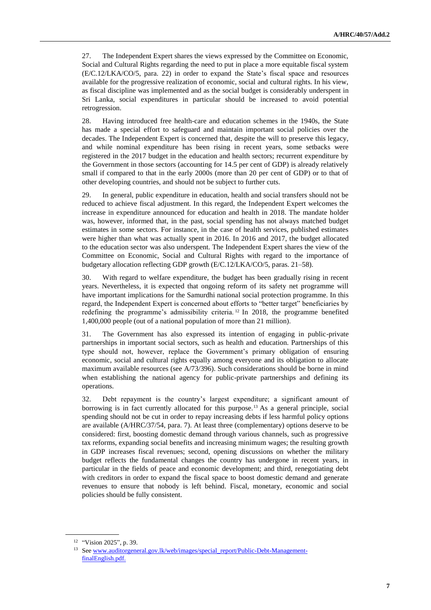27. The Independent Expert shares the views expressed by the Committee on Economic, Social and Cultural Rights regarding the need to put in place a more equitable fiscal system (E/C.12/LKA/CO/5, para. 22) in order to expand the State's fiscal space and resources available for the progressive realization of economic, social and cultural rights. In his view, as fiscal discipline was implemented and as the social budget is considerably underspent in Sri Lanka, social expenditures in particular should be increased to avoid potential retrogression.

28. Having introduced free health-care and education schemes in the 1940s, the State has made a special effort to safeguard and maintain important social policies over the decades. The Independent Expert is concerned that, despite the will to preserve this legacy, and while nominal expenditure has been rising in recent years, some setbacks were registered in the 2017 budget in the education and health sectors; recurrent expenditure by the Government in those sectors (accounting for 14.5 per cent of GDP) is already relatively small if compared to that in the early 2000s (more than 20 per cent of GDP) or to that of other developing countries, and should not be subject to further cuts.

29. In general, public expenditure in education, health and social transfers should not be reduced to achieve fiscal adjustment. In this regard, the Independent Expert welcomes the increase in expenditure announced for education and health in 2018. The mandate holder was, however, informed that, in the past, social spending has not always matched budget estimates in some sectors. For instance, in the case of health services, published estimates were higher than what was actually spent in 2016. In 2016 and 2017, the budget allocated to the education sector was also underspent. The Independent Expert shares the view of the Committee on Economic, Social and Cultural Rights with regard to the importance of budgetary allocation reflecting GDP growth (E/C.12/LKA/CO/5, paras. 21–58).

30. With regard to welfare expenditure, the budget has been gradually rising in recent years. Nevertheless, it is expected that ongoing reform of its safety net programme will have important implications for the Samurdhi national social protection programme. In this regard, the Independent Expert is concerned about efforts to "better target" beneficiaries by redefining the programme's admissibility criteria. <sup>12</sup> In 2018, the programme benefited 1,400,000 people (out of a national population of more than 21 million).

31. The Government has also expressed its intention of engaging in public-private partnerships in important social sectors, such as health and education. Partnerships of this type should not, however, replace the Government's primary obligation of ensuring economic, social and cultural rights equally among everyone and its obligation to allocate maximum available resources (see A/73/396). Such considerations should be borne in mind when establishing the national agency for public-private partnerships and defining its operations.

32. Debt repayment is the country's largest expenditure; a significant amount of borrowing is in fact currently allocated for this purpose.<sup>13</sup> As a general principle, social spending should not be cut in order to repay increasing debts if less harmful policy options are available (A/HRC/37/54, para. 7). At least three (complementary) options deserve to be considered: first, boosting domestic demand through various channels, such as progressive tax reforms, expanding social benefits and increasing minimum wages; the resulting growth in GDP increases fiscal revenues; second, opening discussions on whether the military budget reflects the fundamental changes the country has undergone in recent years, in particular in the fields of peace and economic development; and third, renegotiating debt with creditors in order to expand the fiscal space to boost domestic demand and generate revenues to ensure that nobody is left behind. Fiscal, monetary, economic and social policies should be fully consistent.

<sup>12</sup> "Vision 2025", p. 39.

<sup>&</sup>lt;sup>13</sup> Se[e www.auditorgeneral.gov.lk/web/images/special\\_report/Public-Debt-Management](http://www.auditorgeneral.gov.lk/web/images/special_report/Public-Debt-Management-finalEnglish.pdf)[finalEnglish.pdf.](http://www.auditorgeneral.gov.lk/web/images/special_report/Public-Debt-Management-finalEnglish.pdf)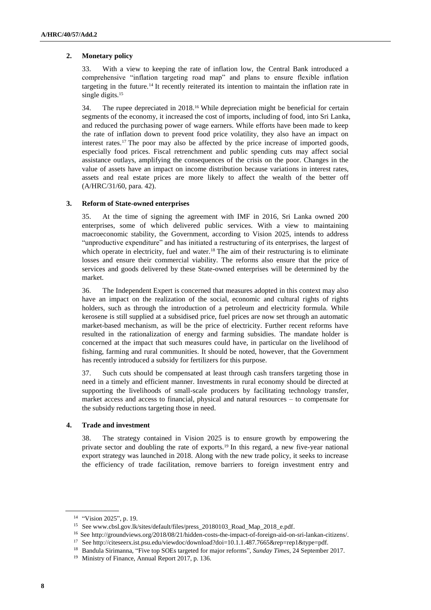#### **2. Monetary policy**

33. With a view to keeping the rate of inflation low, the Central Bank introduced a comprehensive "inflation targeting road map" and plans to ensure flexible inflation targeting in the future.<sup>14</sup> It recently reiterated its intention to maintain the inflation rate in single digits.<sup>15</sup>

34. The rupee depreciated in 2018.<sup>16</sup> While depreciation might be beneficial for certain segments of the economy, it increased the cost of imports, including of food, into Sri Lanka, and reduced the purchasing power of wage earners. While efforts have been made to keep the rate of inflation down to prevent food price volatility, they also have an impact on interest rates.<sup>17</sup> The poor may also be affected by the price increase of imported goods, especially food prices. Fiscal retrenchment and public spending cuts may affect social assistance outlays, amplifying the consequences of the crisis on the poor. Changes in the value of assets have an impact on income distribution because variations in interest rates, assets and real estate prices are more likely to affect the wealth of the better off (A/HRC/31/60, para. 42).

#### **3. Reform of State-owned enterprises**

35. At the time of signing the agreement with IMF in 2016, Sri Lanka owned 200 enterprises, some of which delivered public services. With a view to maintaining macroeconomic stability, the Government, according to Vision 2025, intends to address "unproductive expenditure" and has initiated a restructuring of its enterprises, the largest of which operate in electricity, fuel and water.<sup>18</sup> The aim of their restructuring is to eliminate losses and ensure their commercial viability. The reforms also ensure that the price of services and goods delivered by these State-owned enterprises will be determined by the market.

36. The Independent Expert is concerned that measures adopted in this context may also have an impact on the realization of the social, economic and cultural rights of rights holders, such as through the introduction of a petroleum and electricity formula. While kerosene is still supplied at a subsidised price, fuel prices are now set through an automatic market-based mechanism, as will be the price of electricity. Further recent reforms have resulted in the rationalization of energy and farming subsidies. The mandate holder is concerned at the impact that such measures could have, in particular on the livelihood of fishing, farming and rural communities. It should be noted, however, that the Government has recently introduced a subsidy for fertilizers for this purpose.

37. Such cuts should be compensated at least through cash transfers targeting those in need in a timely and efficient manner. Investments in rural economy should be directed at supporting the livelihoods of small-scale producers by facilitating technology transfer, market access and access to financial, physical and natural resources – to compensate for the subsidy reductions targeting those in need.

#### **4. Trade and investment**

38. The strategy contained in Vision 2025 is to ensure growth by empowering the private sector and doubling the rate of exports.<sup>19</sup> In this regard, a new five-year national export strategy was launched in 2018. Along with the new trade policy, it seeks to increase the efficiency of trade facilitation, remove barriers to foreign investment entry and

<sup>14</sup> "Vision 2025", p. 19.

<sup>15</sup> Se[e www.cbsl.gov.lk/sites/default/files/press\\_20180103\\_Road\\_Map\\_2018\\_e.pdf.](https://www.cbsl.gov.lk/sites/default/files/press_20180103_Road_Map_2018_e.pdf)

<sup>16</sup> See [http://groundviews.org/2018/08/21/hidden-costs-the-impact-of-foreign-aid-on-sri-lankan-citizens/.](http://groundviews.org/2018/08/21/hidden-costs-the-impact-of-foreign-aid-on-sri-lankan-citizens/)

<sup>17</sup> See http://citeseerx.ist.psu.edu/viewdoc/download?doi=10.1.1.487.7665&rep=rep1&type=pdf.

<sup>18</sup> Bandula Sirimanna, "Five top SOEs targeted for major reforms", *Sunday Times*, 24 September 2017.

<sup>19</sup> Ministry of Finance, Annual Report 2017, p. 136.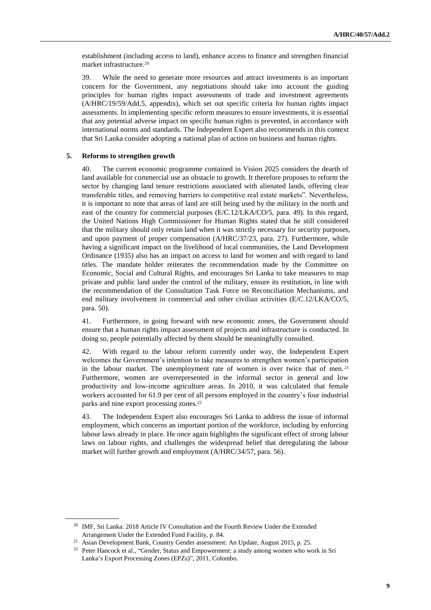establishment (including access to land), enhance access to finance and strengthen financial market infrastructure.<sup>20</sup>

39. While the need to generate more resources and attract investments is an important concern for the Government, any negotiations should take into account the guiding principles for human rights impact assessments of trade and investment agreements (A/HRC/19/59/Add.5, appendix), which set out specific criteria for human rights impact assessments. In implementing specific reform measures to ensure investments, it is essential that any potential adverse impact on specific human rights is prevented, in accordance with international norms and standards. The Independent Expert also recommends in this context that Sri Lanka consider adopting a national plan of action on business and human rights.

#### **5. Reforms to strengthen growth**

40. The current economic programme contained in Vision 2025 considers the dearth of land available for commercial use an obstacle to growth. It therefore proposes to reform the sector by changing land tenure restrictions associated with alienated lands, offering clear transferable titles, and removing barriers to competitive real estate markets". Nevertheless, it is important to note that areas of land are still being used by the military in the north and east of the country for commercial purposes (E/C.12/LKA/CO/5, para. 49). In this regard, the United Nations High Commissioner for Human Rights stated that he still considered that the military should only retain land when it was strictly necessary for security purposes, and upon payment of proper compensation (A/HRC/37/23, para. 27). Furthermore, while having a significant impact on the livelihood of local communities, the Land Development Ordinance (1935) also has an impact on access to land for women and with regard to land titles. The mandate holder reiterates the recommendation made by the Committee on Economic, Social and Cultural Rights, and encourages Sri Lanka to take measures to map private and public land under the control of the military, ensure its restitution, in line with the recommendation of the Consultation Task Force on Reconciliation Mechanisms, and end military involvement in commercial and other civilian activities (E/C.12/LKA/CO/5, para. 50).

41. Furthermore, in going forward with new economic zones, the Government should ensure that a human rights impact assessment of projects and infrastructure is conducted. In doing so, people potentially affected by them should be meaningfully consulted.

42. With regard to the labour reform currently under way, the Independent Expert welcomes the Government's intention to take measures to strengthen women's participation in the labour market. The unemployment rate of women is over twice that of men.<sup>21</sup> Furthermore, women are overrepresented in the informal sector in general and low productivity and low-income agriculture areas. In 2010, it was calculated that female workers accounted for 61.9 per cent of all persons employed in the country's four industrial parks and nine export processing zones.<sup>22</sup>

43. The Independent Expert also encourages Sri Lanka to address the issue of informal employment, which concerns an important portion of the workforce, including by enforcing labour laws already in place. He once again highlights the significant effect of strong labour laws on labour rights, and challenges the widespread belief that deregulating the labour market will further growth and employment (A/HRC/34/57, para. 56).

<sup>&</sup>lt;sup>20</sup> IMF, Sri Lanka: 2018 Article IV Consultation and the Fourth Review Under the Extended Arrangement Under the Extended Fund Facility, p. 84.

<sup>21</sup> Asian Development Bank, Country Gender assessment: An Update, August 2015, p. 25.

<sup>&</sup>lt;sup>22</sup> Peter Hancock et al., "Gender, Status and Empowerment: a study among women who work in Sri Lanka's Export Processing Zones (EPZs)", 2011, Colombo.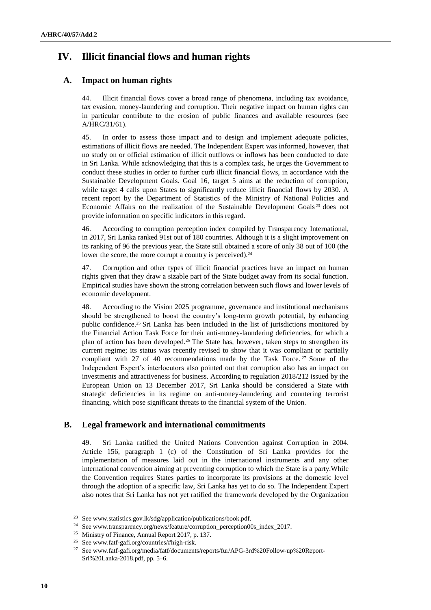# **IV. Illicit financial flows and human rights**

## **A. Impact on human rights**

44. Illicit financial flows cover a broad range of phenomena, including tax avoidance, tax evasion, money-laundering and corruption. Their negative impact on human rights can in particular contribute to the erosion of public finances and available resources (see A/HRC/31/61).

45. In order to assess those impact and to design and implement adequate policies, estimations of illicit flows are needed. The Independent Expert was informed, however, that no study on or official estimation of illicit outflows or inflows has been conducted to date in Sri Lanka. While acknowledging that this is a complex task, he urges the Government to conduct these studies in order to further curb illicit financial flows, in accordance with the Sustainable Development Goals. Goal 16, target 5 aims at the reduction of corruption, while target 4 calls upon States to significantly reduce illicit financial flows by 2030. A recent report by the Department of Statistics of the Ministry of National Policies and Economic Affairs on the realization of the Sustainable Development Goals <sup>23</sup> does not provide information on specific indicators in this regard.

46. According to corruption perception index compiled by Transparency International, in 2017, Sri Lanka ranked 91st out of 180 countries. Although it is a slight improvement on its ranking of 96 the previous year, the State still obtained a score of only 38 out of 100 (the lower the score, the more corrupt a country is perceived).<sup>24</sup>

47. Corruption and other types of illicit financial practices have an impact on human rights given that they draw a sizable part of the State budget away from its social function. Empirical studies have shown the strong correlation between such flows and lower levels of economic development.

48. According to the Vision 2025 programme, governance and institutional mechanisms should be strengthened to boost the country's long-term growth potential, by enhancing public confidence.<sup>25</sup> Sri Lanka has been included in the list of jurisdictions monitored by the Financial Action Task Force for their anti-money-laundering deficiencies, for which a plan of action has been developed.<sup>26</sup> The State has, however, taken steps to strengthen its current regime; its status was recently revised to show that it was compliant or partially compliant with 27 of 40 recommendations made by the Task Force. <sup>27</sup> Some of the Independent Expert's interlocutors also pointed out that corruption also has an impact on investments and attractiveness for business. According to regulation 2018/212 issued by the European Union on 13 December 2017, Sri Lanka should be considered a State with strategic deficiencies in its regime on anti-money-laundering and countering terrorist financing, which pose significant threats to the financial system of the Union.

## **B. Legal framework and international commitments**

49. Sri Lanka ratified the United Nations Convention against Corruption in 2004. Article 156, paragraph 1 (c) of the Constitution of Sri Lanka provides for the implementation of measures laid out in the international instruments and any other international convention aiming at preventing corruption to which the State is a party.While the Convention requires States parties to incorporate its provisions at the domestic level through the adoption of a specific law, Sri Lanka has yet to do so. The Independent Expert also notes that Sri Lanka has not yet ratified the framework developed by the Organization

<sup>23</sup> See www.statistics.gov.lk/sdg/application/publications/book.pdf.

<sup>&</sup>lt;sup>24</sup> See www.transparency.org/news/feature/corruption\_perception00s\_index\_2017.

<sup>25</sup> Ministry of Finance, Annual Report 2017, p. 137.

<sup>26</sup> Se[e www.fatf-gafi.org/countries/#high-risk.](http://www.fatf-gafi.org/countries/#high-risk)

<sup>27</sup> Se[e www.fatf-gafi.org/media/fatf/documents/reports/fur/APG-3rd%20Follow-up%20Report-](file:///C:/Users/mcparland/AppData/Local/Microsoft/Windows/INetCache/Content.Outlook/WN2FEX9W/www.fatf-gafi.org/media/fatf/documents/reports/fur/APG-3rd%20Follow-up%20Report-Sri%20Lanka-2018.pdf)[Sri%20Lanka-2018.pdf,](file:///C:/Users/mcparland/AppData/Local/Microsoft/Windows/INetCache/Content.Outlook/WN2FEX9W/www.fatf-gafi.org/media/fatf/documents/reports/fur/APG-3rd%20Follow-up%20Report-Sri%20Lanka-2018.pdf) pp. 5–6.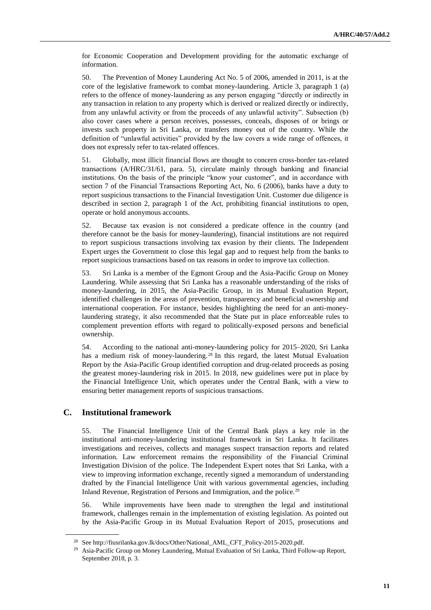for Economic Cooperation and Development providing for the automatic exchange of information.

50. The Prevention of Money Laundering Act No. 5 of 2006, amended in 2011, is at the core of the legislative framework to combat money-laundering. Article 3, paragraph 1 (a) refers to the offence of money-laundering as any person engaging "directly or indirectly in any transaction in relation to any property which is derived or realized directly or indirectly, from any unlawful activity or from the proceeds of any unlawful activity". Subsection (b) also cover cases where a person receives, possesses, conceals, disposes of or brings or invests such property in Sri Lanka, or transfers money out of the country. While the definition of "unlawful activities" provided by the law covers a wide range of offences, it does not expressly refer to tax-related offences.

51. Globally, most illicit financial flows are thought to concern cross-border tax-related transactions (A/HRC/31/61, para. 5), circulate mainly through banking and financial institutions. On the basis of the principle "know your customer", and in accordance with section 7 of the Financial Transactions Reporting Act, No. 6 (2006), banks have a duty to report suspicious transactions to the Financial Investigation Unit. Customer due diligence is described in section 2, paragraph 1 of the Act, prohibiting financial institutions to open, operate or hold anonymous accounts.

52. Because tax evasion is not considered a predicate offence in the country (and therefore cannot be the basis for money-laundering), financial institutions are not required to report suspicious transactions involving tax evasion by their clients. The Independent Expert urges the Government to close this legal gap and to request help from the banks to report suspicious transactions based on tax reasons in order to improve tax collection.

53. Sri Lanka is a member of the Egmont Group and the Asia-Pacific Group on Money Laundering. While assessing that Sri Lanka has a reasonable understanding of the risks of money-laundering, in 2015, the Asia-Pacific Group, in its Mutual Evaluation Report, identified challenges in the areas of prevention, transparency and beneficial ownership and international cooperation. For instance, besides highlighting the need for an anti-moneylaundering strategy, it also recommended that the State put in place enforceable rules to complement prevention efforts with regard to politically-exposed persons and beneficial ownership.

54. According to the national anti-money-laundering policy for 2015–2020, Sri Lanka has a medium risk of money-laundering.<sup>28</sup> In this regard, the latest Mutual Evaluation Report by the Asia-Pacific Group identified corruption and drug-related proceeds as posing the greatest money-laundering risk in 2015. In 2018, new guidelines were put in place by the Financial Intelligence Unit, which operates under the Central Bank, with a view to ensuring better management reports of suspicious transactions.

### **C. Institutional framework**

55. The Financial Intelligence Unit of the Central Bank plays a key role in the institutional anti-money-laundering institutional framework in Sri Lanka. It facilitates investigations and receives, collects and manages suspect transaction reports and related information. Law enforcement remains the responsibility of the Financial Criminal Investigation Division of the police. The Independent Expert notes that Sri Lanka, with a view to improving information exchange, recently signed a memorandum of understanding drafted by the Financial Intelligence Unit with various governmental agencies, including Inland Revenue, Registration of Persons and Immigration, and the police.<sup>29</sup>

56. While improvements have been made to strengthen the legal and institutional framework, challenges remain in the implementation of existing legislation. As pointed out by the Asia-Pacific Group in its Mutual Evaluation Report of 2015, prosecutions and

<sup>28</sup> See http://fiusrilanka.gov.lk/docs/Other/National\_AML\_CFT\_Policy-2015-2020.pdf.

<sup>&</sup>lt;sup>29</sup> Asia-Pacific Group on Money Laundering, Mutual Evaluation of Sri Lanka, Third Follow-up Report, September 2018, p. 3.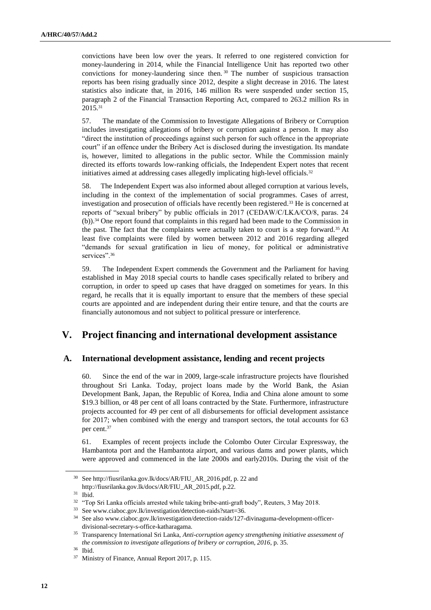convictions have been low over the years. It referred to one registered conviction for money-laundering in 2014, while the Financial Intelligence Unit has reported two other convictions for money-laundering since then. <sup>30</sup> The number of suspicious transaction reports has been rising gradually since 2012, despite a slight decrease in 2016. The latest statistics also indicate that, in 2016, 146 million Rs were suspended under section 15, paragraph 2 of the Financial Transaction Reporting Act, compared to 263.2 million Rs in 2015.<sup>31</sup>

57. The mandate of the Commission to Investigate Allegations of Bribery or Corruption includes investigating allegations of bribery or corruption against a person. It may also "direct the institution of proceedings against such person for such offence in the appropriate court" if an offence under the Bribery Act is disclosed during the investigation. Its mandate is, however, limited to allegations in the public sector. While the Commission mainly directed its efforts towards low-ranking officials, the Independent Expert notes that recent initiatives aimed at addressing cases allegedly implicating high-level officials.<sup>32</sup>

58. The Independent Expert was also informed about alleged corruption at various levels, including in the context of the implementation of social programmes. Cases of arrest, investigation and prosecution of officials have recently been registered.<sup>33</sup> He is concerned at reports of "sexual bribery" by public officials in 2017 (CEDAW/C/LKA/CO/8, paras. 24 (b)).<sup>34</sup> One report found that complaints in this regard had been made to the Commission in the past. The fact that the complaints were actually taken to court is a step forward.<sup>35</sup> At least five complaints were filed by women between 2012 and 2016 regarding alleged "demands for sexual gratification in lieu of money, for political or administrative services".<sup>36</sup>

59. The Independent Expert commends the Government and the Parliament for having established in May 2018 special courts to handle cases specifically related to bribery and corruption, in order to speed up cases that have dragged on sometimes for years. In this regard, he recalls that it is equally important to ensure that the members of these special courts are appointed and are independent during their entire tenure, and that the courts are financially autonomous and not subject to political pressure or interference.

# **V. Project financing and international development assistance**

### **A. International development assistance, lending and recent projects**

60. Since the end of the war in 2009, large-scale infrastructure projects have flourished throughout Sri Lanka. Today, project loans made by the World Bank, the Asian Development Bank, Japan, the Republic of Korea, India and China alone amount to some \$19.3 billion, or 48 per cent of all loans contracted by the State. Furthermore, infrastructure projects accounted for 49 per cent of all disbursements for official development assistance for 2017; when combined with the energy and transport sectors, the total accounts for 63 per cent.<sup>37</sup>

61. Examples of recent projects include the Colombo Outer Circular Expressway, the Hambantota port and the Hambantota airport, and various dams and power plants, which were approved and commenced in the late 2000s and early2010s. During the visit of the

<sup>30</sup> Se[e http://fiusrilanka.gov.lk/docs/AR/FIU\\_AR\\_2016.pdf,](http://fiusrilanka.gov.lk/docs/AR/FIU_AR_2016.pdf) p. 22 and [http://fiusrilanka.gov.lk/docs/AR/FIU\\_AR\\_2015.pdf,](http://fiusrilanka.gov.lk/docs/AR/FIU_AR_2015.pdf) p.22.

<sup>31</sup> Ibid.

<sup>&</sup>lt;sup>32</sup> "Top Sri Lanka officials arrested while taking bribe-anti-graft body", Reuters, 3 May 2018.

<sup>33</sup> See www.ciaboc.gov.lk/investigation/detection-raids?start=36.

<sup>34</sup> See also [www.ciaboc.gov.lk/investigation/detection-raids/127-divinaguma-development-officer](file:///C:/Users/mcparland/AppData/Local/Microsoft/Windows/INetCache/Content.Outlook/WN2FEX9W/www.ciaboc.gov.lk/investigation/detection-raids/127-divinaguma-development-officer-divisional-secretary-s-office-katharagama)[divisional-secretary-s-office-katharagama.](file:///C:/Users/mcparland/AppData/Local/Microsoft/Windows/INetCache/Content.Outlook/WN2FEX9W/www.ciaboc.gov.lk/investigation/detection-raids/127-divinaguma-development-officer-divisional-secretary-s-office-katharagama) 

<sup>35</sup> Transparency International Sri Lanka, *Anti-corruption agency strengthening initiative assessment of the commission to investigate allegations of bribery or corruption, 2016*, p. 35.

<sup>36</sup> Ibid.

<sup>37</sup> Ministry of Finance, Annual Report 2017, p. 115.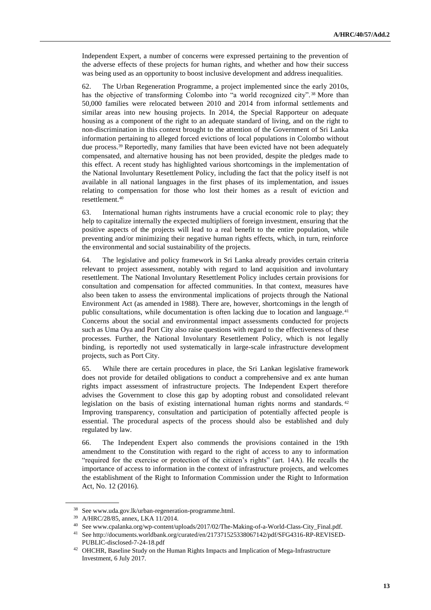Independent Expert, a number of concerns were expressed pertaining to the prevention of the adverse effects of these projects for human rights, and whether and how their success was being used as an opportunity to boost inclusive development and address inequalities.

62. The Urban Regeneration Programme, a project implemented since the early 2010s, has the objective of transforming Colombo into "a world recognized city".<sup>38</sup> More than 50,000 families were relocated between 2010 and 2014 from informal settlements and similar areas into new housing projects. In 2014, the Special Rapporteur on adequate housing as a component of the right to an adequate standard of living, and on the right to non-discrimination in this context brought to the attention of the Government of Sri Lanka information pertaining to alleged forced evictions of local populations in Colombo without due process.<sup>39</sup> Reportedly, many families that have been evicted have not been adequately compensated, and alternative housing has not been provided, despite the pledges made to this effect. A recent study has highlighted various shortcomings in the implementation of the National Involuntary Resettlement Policy, including the fact that the policy itself is not available in all national languages in the first phases of its implementation, and issues relating to compensation for those who lost their homes as a result of eviction and resettlement.<sup>40</sup>

63. International human rights instruments have a crucial economic role to play; they help to capitalize internally the expected multipliers of foreign investment, ensuring that the positive aspects of the projects will lead to a real benefit to the entire population, while preventing and/or minimizing their negative human rights effects, which, in turn, reinforce the environmental and social sustainability of the projects.

64. The legislative and policy framework in Sri Lanka already provides certain criteria relevant to project assessment, notably with regard to land acquisition and involuntary resettlement. The National Involuntary Resettlement Policy includes certain provisions for consultation and compensation for affected communities. In that context, measures have also been taken to assess the environmental implications of projects through the National Environment Act (as amended in 1988). There are, however, shortcomings in the length of public consultations, while documentation is often lacking due to location and language.<sup>41</sup> Concerns about the social and environmental impact assessments conducted for projects such as Uma Oya and Port City also raise questions with regard to the effectiveness of these processes. Further, the National Involuntary Resettlement Policy, which is not legally binding, is reportedly not used systematically in large-scale infrastructure development projects, such as Port City.

65. While there are certain procedures in place, the Sri Lankan legislative framework does not provide for detailed obligations to conduct a comprehensive and ex ante human rights impact assessment of infrastructure projects. The Independent Expert therefore advises the Government to close this gap by adopting robust and consolidated relevant legislation on the basis of existing international human rights norms and standards.<sup>42</sup> Improving transparency, consultation and participation of potentially affected people is essential. The procedural aspects of the process should also be established and duly regulated by law.

66. The Independent Expert also commends the provisions contained in the 19th amendment to the Constitution with regard to the right of access to any to information "required for the exercise or protection of the citizen's rights" (art. 14A). He recalls the importance of access to information in the context of infrastructure projects, and welcomes the establishment of the Right to Information Commission under the Right to Information Act, No. 12 (2016).

<sup>38</sup> Se[e www.uda.gov.lk/urban-regeneration-programme.html.](file:///C:/Users/mcparland/AppData/Local/Microsoft/Windows/INetCache/Content.Outlook/WN2FEX9W/www.uda.gov.lk/urban-regeneration-programme.html)

<sup>39</sup> A/HRC/28/85, annex[, LKA 11/2014.](https://spcommreports.ohchr.org/TMResultsBase/DownLoadPublicCommunicationFile?gId=22515)

<sup>40</sup> See www.cpalanka.org/wp-content/uploads/2017/02/The-Making-of-a-World-Class-City\_Final.pdf.

<sup>41</sup> See http://documents.worldbank.org/curated/en/217371525338067142/pdf/SFG4316-RP-REVISED-PUBLIC-disclosed-7-24-18.pdf

<sup>42</sup> OHCHR, Baseline Study on the Human Rights Impacts and Implication of Mega-Infrastructure Investment, 6 July 2017.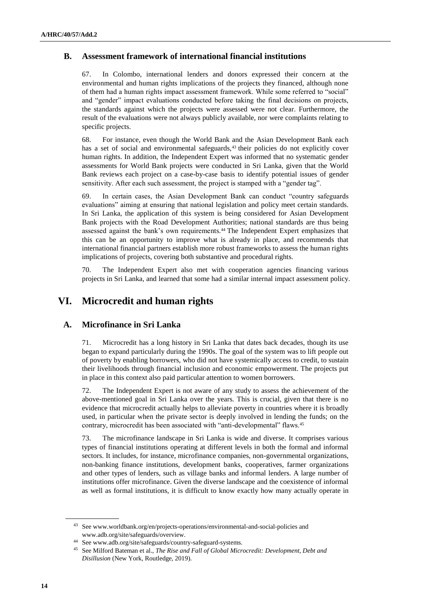### **B. Assessment framework of international financial institutions**

67. In Colombo, international lenders and donors expressed their concern at the environmental and human rights implications of the projects they financed, although none of them had a human rights impact assessment framework. While some referred to "social" and "gender" impact evaluations conducted before taking the final decisions on projects, the standards against which the projects were assessed were not clear. Furthermore, the result of the evaluations were not always publicly available, nor were complaints relating to specific projects.

68. For instance, even though the World Bank and the Asian Development Bank each has a set of social and environmental safeguards,<sup>43</sup> their policies do not explicitly cover human rights. In addition, the Independent Expert was informed that no systematic gender assessments for World Bank projects were conducted in Sri Lanka, given that the World Bank reviews each project on a case-by-case basis to identify potential issues of gender sensitivity. After each such assessment, the project is stamped with a "gender tag".

69. In certain cases, the Asian Development Bank can conduct "country safeguards evaluations" aiming at ensuring that national legislation and policy meet certain standards. In Sri Lanka, the application of this system is being considered for Asian Development Bank projects with the Road Development Authorities; national standards are thus being assessed against the bank's own requirements.<sup>44</sup> The Independent Expert emphasizes that this can be an opportunity to improve what is already in place, and recommends that international financial partners establish more robust frameworks to assess the human rights implications of projects, covering both substantive and procedural rights.

70. The Independent Expert also met with cooperation agencies financing various projects in Sri Lanka, and learned that some had a similar internal impact assessment policy.

# **VI. Microcredit and human rights**

### **A. Microfinance in Sri Lanka**

71. Microcredit has a long history in Sri Lanka that dates back decades, though its use began to expand particularly during the 1990s. The goal of the system was to lift people out of poverty by enabling borrowers, who did not have systemically access to credit, to sustain their livelihoods through financial inclusion and economic empowerment. The projects put in place in this context also paid particular attention to women borrowers.

72. The Independent Expert is not aware of any study to assess the achievement of the above-mentioned goal in Sri Lanka over the years. This is crucial, given that there is no evidence that microcredit actually helps to alleviate poverty in countries where it is broadly used, in particular when the private sector is deeply involved in lending the funds; on the contrary, microcredit has been associated with "anti-developmental" flaws.<sup>45</sup>

73. The microfinance landscape in Sri Lanka is wide and diverse. It comprises various types of financial institutions operating at different levels in both the formal and informal sectors. It includes, for instance, microfinance companies, non-governmental organizations, non-banking finance institutions, development banks, cooperatives, farmer organizations and other types of lenders, such as village banks and informal lenders. A large number of institutions offer microfinance. Given the diverse landscape and the coexistence of informal as well as formal institutions, it is difficult to know exactly how many actually operate in

<sup>43</sup> See www.worldbank.org/en/projects-operations/environmental-and-social-policies and www.adb.org/site/safeguards/overview.

<sup>44</sup> [See www.adb.org/site/safeguards/country-safeguard-systems.](file:///C:/Users/mcparland/AppData/Local/Microsoft/Windows/INetCache/Content.Outlook/WN2FEX9W/See%20www.adb.org/site/safeguards/country-safeguard-systems)

<sup>45</sup> See Milford Bateman et al., *The Rise and Fall of Global Microcredit: Development, Debt and Disillusion* (New York, Routledge, 2019).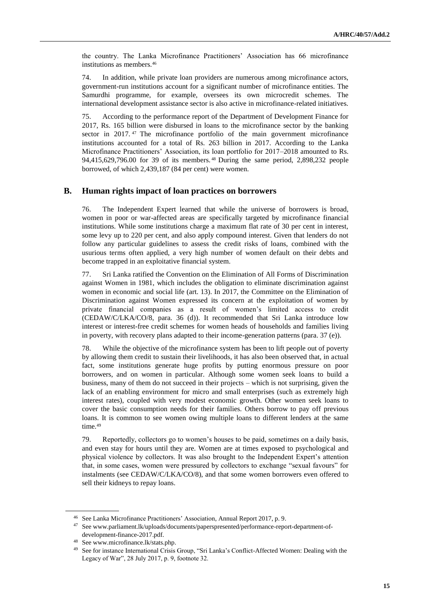the country. The Lanka Microfinance Practitioners' Association has 66 microfinance institutions as members.<sup>46</sup>

74. In addition, while private loan providers are numerous among microfinance actors, government-run institutions account for a significant number of microfinance entities. The Samurdhi programme, for example, oversees its own microcredit schemes. The international development assistance sector is also active in microfinance-related initiatives.

75. According to the performance report of the Department of Development Finance for 2017, Rs. 165 billion were disbursed in loans to the microfinance sector by the banking sector in 2017.<sup>47</sup> The microfinance portfolio of the main government microfinance institutions accounted for a total of Rs. 263 billion in 2017. According to the Lanka Microfinance Practitioners' Association, its loan portfolio for 2017–2018 amounted to Rs. 94,415,629,796.00 for 39 of its members. <sup>48</sup> During the same period, 2,898,232 people borrowed, of which 2,439,187 (84 per cent) were women.

### **B. Human rights impact of loan practices on borrowers**

76. The Independent Expert learned that while the universe of borrowers is broad, women in poor or war-affected areas are specifically targeted by microfinance financial institutions. While some institutions charge a maximum flat rate of 30 per cent in interest, some levy up to 220 per cent, and also apply compound interest. Given that lenders do not follow any particular guidelines to assess the credit risks of loans, combined with the usurious terms often applied, a very high number of women default on their debts and become trapped in an exploitative financial system.

77. Sri Lanka ratified the Convention on the Elimination of All Forms of Discrimination against Women in 1981, which includes the obligation to eliminate discrimination against women in economic and social life (art. 13). In 2017, the Committee on the Elimination of Discrimination against Women expressed its concern at the exploitation of women by private financial companies as a result of women's limited access to credit (CEDAW/C/LKA/CO/8, para. 36 (d)). It recommended that Sri Lanka introduce low interest or interest-free credit schemes for women heads of households and families living in poverty, with recovery plans adapted to their income-generation patterns (para. 37 (e)).

78. While the objective of the microfinance system has been to lift people out of poverty by allowing them credit to sustain their livelihoods, it has also been observed that, in actual fact, some institutions generate huge profits by putting enormous pressure on poor borrowers, and on women in particular. Although some women seek loans to build a business, many of them do not succeed in their projects – which is not surprising, given the lack of an enabling environment for micro and small enterprises (such as extremely high interest rates), coupled with very modest economic growth. Other women seek loans to cover the basic consumption needs for their families. Others borrow to pay off previous loans. It is common to see women owing multiple loans to different lenders at the same time.<sup>49</sup>

79. Reportedly, collectors go to women's houses to be paid, sometimes on a daily basis, and even stay for hours until they are. Women are at times exposed to psychological and physical violence by collectors. It was also brought to the Independent Expert's attention that, in some cases, women were pressured by collectors to exchange "sexual favours" for instalments (see CEDAW/C/LKA/CO/8), and that some women borrowers even offered to sell their kidneys to repay loans.

<sup>46</sup> See Lanka Microfinance Practitioners' Association, Annual Report 2017, p. 9.

<sup>47</sup> Se[e www.parliament.lk/uploads/documents/paperspresented/performance-report-department-of](http://www.parliament.lk/uploads/documents/paperspresented/performance-report-department-of-development-finance-2017.pdf)[development-finance-2017.pdf.](http://www.parliament.lk/uploads/documents/paperspresented/performance-report-department-of-development-finance-2017.pdf)

<sup>48</sup> Se[e www.microfinance.lk/stats.php.](http://www.microfinance.lk/stats.php)

<sup>49</sup> See for instance International Crisis Group, "Sri Lanka's Conflict-Affected Women: Dealing with the Legacy of War", 28 July 2017, p. 9, footnote 32.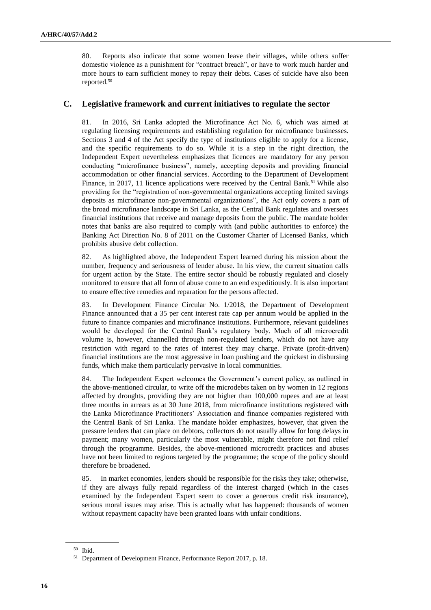80. Reports also indicate that some women leave their villages, while others suffer domestic violence as a punishment for "contract breach", or have to work much harder and more hours to earn sufficient money to repay their debts. Cases of suicide have also been reported.<sup>50</sup>

### **C. Legislative framework and current initiatives to regulate the sector**

81. In 2016, Sri Lanka adopted the Microfinance Act No. 6, which was aimed at regulating licensing requirements and establishing regulation for microfinance businesses. Sections 3 and 4 of the Act specify the type of institutions eligible to apply for a license, and the specific requirements to do so. While it is a step in the right direction, the Independent Expert nevertheless emphasizes that licences are mandatory for any person conducting "microfinance business", namely, accepting deposits and providing financial accommodation or other financial services. According to the Department of Development Finance, in 2017, 11 licence applications were received by the Central Bank.<sup>51</sup> While also providing for the "registration of non-governmental organizations accepting limited savings deposits as microfinance non-governmental organizations", the Act only covers a part of the broad microfinance landscape in Sri Lanka, as the Central Bank regulates and oversees financial institutions that receive and manage deposits from the public. The mandate holder notes that banks are also required to comply with (and public authorities to enforce) the Banking Act Direction No. 8 of 2011 on the Customer Charter of Licensed Banks, which prohibits abusive debt collection.

82. As highlighted above, the Independent Expert learned during his mission about the number, frequency and seriousness of lender abuse. In his view, the current situation calls for urgent action by the State. The entire sector should be robustly regulated and closely monitored to ensure that all form of abuse come to an end expeditiously. It is also important to ensure effective remedies and reparation for the persons affected.

83. In Development Finance Circular No. 1/2018, the Department of Development Finance announced that a 35 per cent interest rate cap per annum would be applied in the future to finance companies and microfinance institutions. Furthermore, relevant guidelines would be developed for the Central Bank's regulatory body. Much of all microcredit volume is, however, channelled through non-regulated lenders, which do not have any restriction with regard to the rates of interest they may charge. Private (profit-driven) financial institutions are the most aggressive in loan pushing and the quickest in disbursing funds, which make them particularly pervasive in local communities.

84. The Independent Expert welcomes the Government's current policy, as outlined in the above-mentioned circular, to write off the microdebts taken on by women in 12 regions affected by droughts, providing they are not higher than 100,000 rupees and are at least three months in arrears as at 30 June 2018, from microfinance institutions registered with the Lanka Microfinance Practitioners' Association and finance companies registered with the Central Bank of Sri Lanka. The mandate holder emphasizes, however, that given the pressure lenders that can place on debtors, collectors do not usually allow for long delays in payment; many women, particularly the most vulnerable, might therefore not find relief through the programme. Besides, the above-mentioned microcredit practices and abuses have not been limited to regions targeted by the programme; the scope of the policy should therefore be broadened.

85. In market economies, lenders should be responsible for the risks they take; otherwise, if they are always fully repaid regardless of the interest charged (which in the cases examined by the Independent Expert seem to cover a generous credit risk insurance), serious moral issues may arise. This is actually what has happened: thousands of women without repayment capacity have been granted loans with unfair conditions.

<sup>50</sup> Ibid.

<sup>51</sup> Department of Development Finance, Performance Report 2017, p. 18.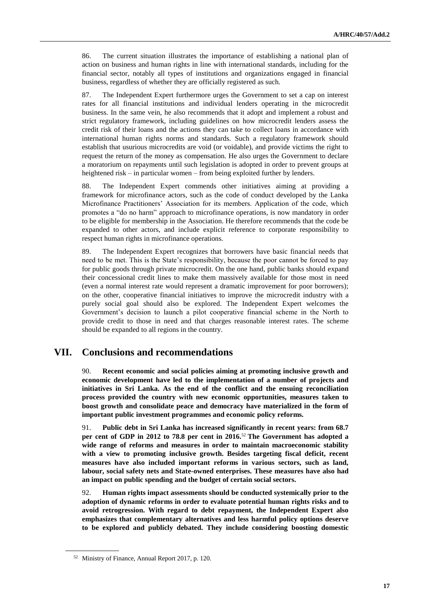86. The current situation illustrates the importance of establishing a national plan of action on business and human rights in line with international standards, including for the financial sector, notably all types of institutions and organizations engaged in financial business, regardless of whether they are officially registered as such.

87. The Independent Expert furthermore urges the Government to set a cap on interest rates for all financial institutions and individual lenders operating in the microcredit business. In the same vein, he also recommends that it adopt and implement a robust and strict regulatory framework, including guidelines on how microcredit lenders assess the credit risk of their loans and the actions they can take to collect loans in accordance with international human rights norms and standards. Such a regulatory framework should establish that usurious microcredits are void (or voidable), and provide victims the right to request the return of the money as compensation. He also urges the Government to declare a moratorium on repayments until such legislation is adopted in order to prevent groups at heightened risk – in particular women – from being exploited further by lenders.

88. The Independent Expert commends other initiatives aiming at providing a framework for microfinance actors, such as the code of conduct developed by the Lanka Microfinance Practitioners' Association for its members. Application of the code, which promotes a "do no harm" approach to microfinance operations, is now mandatory in order to be eligible for membership in the Association. He therefore recommends that the code be expanded to other actors, and include explicit reference to corporate responsibility to respect human rights in microfinance operations.

89. The Independent Expert recognizes that borrowers have basic financial needs that need to be met. This is the State's responsibility, because the poor cannot be forced to pay for public goods through private microcredit. On the one hand, public banks should expand their concessional credit lines to make them massively available for those most in need (even a normal interest rate would represent a dramatic improvement for poor borrowers); on the other, cooperative financial initiatives to improve the microcredit industry with a purely social goal should also be explored. The Independent Expert welcomes the Government's decision to launch a pilot cooperative financial scheme in the North to provide credit to those in need and that charges reasonable interest rates. The scheme should be expanded to all regions in the country.

# **VII. Conclusions and recommendations**

90. **Recent economic and social policies aiming at promoting inclusive growth and economic development have led to the implementation of a number of projects and initiatives in Sri Lanka. As the end of the conflict and the ensuing reconciliation process provided the country with new economic opportunities, measures taken to boost growth and consolidate peace and democracy have materialized in the form of important public investment programmes and economic policy reforms.** 

91. **Public debt in Sri Lanka has increased significantly in recent years: from 68.7 per cent of GDP in 2012 to 78.8 per cent in 2016.**<sup>52</sup> **The Government has adopted a wide range of reforms and measures in order to maintain macroeconomic stability with a view to promoting inclusive growth. Besides targeting fiscal deficit, recent measures have also included important reforms in various sectors, such as land, labour, social safety nets and State-owned enterprises. These measures have also had an impact on public spending and the budget of certain social sectors.**

92. **Human rights impact assessments should be conducted systemically prior to the adoption of dynamic reforms in order to evaluate potential human rights risks and to avoid retrogression. With regard to debt repayment, the Independent Expert also emphasizes that complementary alternatives and less harmful policy options deserve to be explored and publicly debated. They include considering boosting domestic** 

<sup>52</sup> Ministry of Finance, Annual Report 2017, p. 120.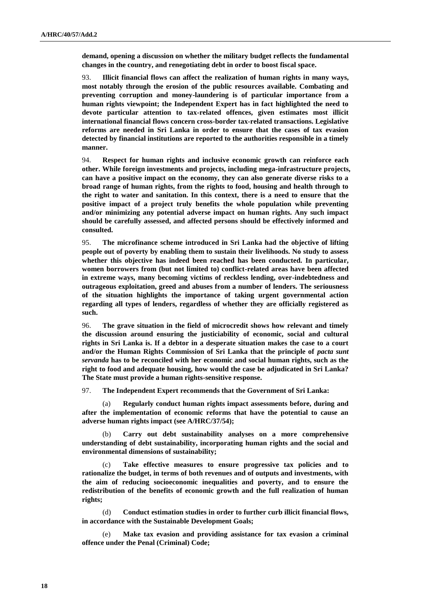**demand, opening a discussion on whether the military budget reflects the fundamental changes in the country, and renegotiating debt in order to boost fiscal space.**

93. **Illicit financial flows can affect the realization of human rights in many ways, most notably through the erosion of the public resources available. Combating and preventing corruption and money-laundering is of particular importance from a human rights viewpoint; the Independent Expert has in fact highlighted the need to devote particular attention to tax-related offences, given estimates most illicit international financial flows concern cross-border tax-related transactions. Legislative reforms are needed in Sri Lanka in order to ensure that the cases of tax evasion detected by financial institutions are reported to the authorities responsible in a timely manner.** 

94. **Respect for human rights and inclusive economic growth can reinforce each other. While foreign investments and projects, including mega-infrastructure projects, can have a positive impact on the economy, they can also generate diverse risks to a broad range of human rights, from the rights to food, housing and health through to the right to water and sanitation. In this context, there is a need to ensure that the positive impact of a project truly benefits the whole population while preventing and/or minimizing any potential adverse impact on human rights. Any such impact should be carefully assessed, and affected persons should be effectively informed and consulted.**

95. **The microfinance scheme introduced in Sri Lanka had the objective of lifting people out of poverty by enabling them to sustain their livelihoods. No study to assess whether this objective has indeed been reached has been conducted. In particular, women borrowers from (but not limited to) conflict-related areas have been affected in extreme ways, many becoming victims of reckless lending, over-indebtedness and outrageous exploitation, greed and abuses from a number of lenders. The seriousness of the situation highlights the importance of taking urgent governmental action regarding all types of lenders, regardless of whether they are officially registered as such.** 

96. **The grave situation in the field of microcredit shows how relevant and timely the discussion around ensuring the justiciability of economic, social and cultural rights in Sri Lanka is. If a debtor in a desperate situation makes the case to a court and/or the Human Rights Commission of Sri Lanka that the principle of** *pacta sunt servanda* **has to be reconciled with her economic and social human rights, such as the right to food and adequate housing, how would the case be adjudicated in Sri Lanka? The State must provide a human rights-sensitive response.** 

97. **The Independent Expert recommends that the Government of Sri Lanka:**

**Regularly conduct human rights impact assessments before, during and after the implementation of economic reforms that have the potential to cause an adverse human rights impact (see A/HRC/37/54);**

(b) **Carry out debt sustainability analyses on a more comprehensive understanding of debt sustainability, incorporating human rights and the social and environmental dimensions of sustainability;**

(c) **Take effective measures to ensure progressive tax policies and to rationalize the budget, in terms of both revenues and of outputs and investments, with the aim of reducing socioeconomic inequalities and poverty, and to ensure the redistribution of the benefits of economic growth and the full realization of human rights;**

(d) **Conduct estimation studies in order to further curb illicit financial flows, in accordance with the Sustainable Development Goals;**

Make tax evasion and providing assistance for tax evasion a criminal **offence under the Penal (Criminal) Code;**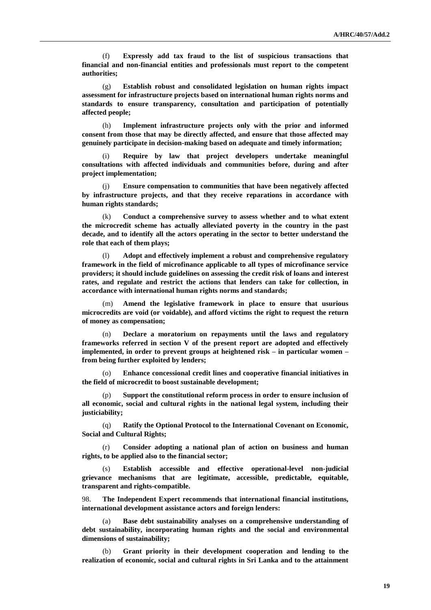(f) **Expressly add tax fraud to the list of suspicious transactions that financial and non-financial entities and professionals must report to the competent authorities;**

(g) **Establish robust and consolidated legislation on human rights impact assessment for infrastructure projects based on international human rights norms and standards to ensure transparency, consultation and participation of potentially affected people;**

(h) **Implement infrastructure projects only with the prior and informed consent from those that may be directly affected, and ensure that those affected may genuinely participate in decision-making based on adequate and timely information;**

(i) **Require by law that project developers undertake meaningful consultations with affected individuals and communities before, during and after project implementation;**

Ensure compensation to communities that have been negatively affected **by infrastructure projects, and that they receive reparations in accordance with human rights standards;** 

(k) **Conduct a comprehensive survey to assess whether and to what extent the microcredit scheme has actually alleviated poverty in the country in the past decade, and to identify all the actors operating in the sector to better understand the role that each of them plays;** 

Adopt and effectively implement a robust and comprehensive regulatory **framework in the field of microfinance applicable to all types of microfinance service providers; it should include guidelines on assessing the credit risk of loans and interest rates, and regulate and restrict the actions that lenders can take for collection, in accordance with international human rights norms and standards;**

(m) **Amend the legislative framework in place to ensure that usurious microcredits are void (or voidable), and afford victims the right to request the return of money as compensation;**

(n) **Declare a moratorium on repayments until the laws and regulatory frameworks referred in section V of the present report are adopted and effectively implemented, in order to prevent groups at heightened risk – in particular women – from being further exploited by lenders;** 

(o) **Enhance concessional credit lines and cooperative financial initiatives in the field of microcredit to boost sustainable development;** 

(p) **Support the constitutional reform process in order to ensure inclusion of all economic, social and cultural rights in the national legal system, including their justiciability;** 

(q) **Ratify the Optional Protocol to the International Covenant on Economic, Social and Cultural Rights;**

(r) **Consider adopting a national plan of action on business and human rights, to be applied also to the financial sector;** 

**Establish accessible and effective operational-level non-judicial grievance mechanisms that are legitimate, accessible, predictable, equitable, transparent and rights-compatible.** 

98. **The Independent Expert recommends that international financial institutions, international development assistance actors and foreign lenders:** 

(a) **Base debt sustainability analyses on a comprehensive understanding of debt sustainability, incorporating human rights and the social and environmental dimensions of sustainability;**

(b) **Grant priority in their development cooperation and lending to the realization of economic, social and cultural rights in Sri Lanka and to the attainment**